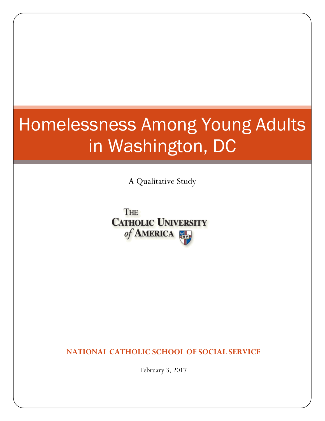# Homelessness Among Young Adults in Washington, DC

A Qualitative Study

THE **CATHOLIC UNIVERSITY** of AMERICA

**NATIONAL CATHOLIC SCHOOL OF SOCIAL SERVICE**

February 3, 2017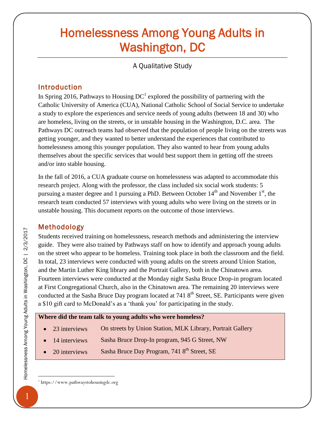# Homelessness Among Young Adults in Washington, DC

A Qualitative Study

# Introduction

In Spring 2016, Pathways to Housing  $DC<sup>1</sup>$  explored the possibility of partnering with the Catholic University of America (CUA), National Catholic School of Social Service to undertake a study to explore the experiences and service needs of young adults (between 18 and 30) who are homeless, living on the streets, or in unstable housing in the Washington, D.C. area. The Pathways DC outreach teams had observed that the population of people living on the streets was getting younger, and they wanted to better understand the experiences that contributed to homelessness among this younger population. They also wanted to hear from young adults themselves about the specific services that would best support them in getting off the streets and/or into stable housing.

In the fall of 2016, a CUA graduate course on homelessness was adapted to accommodate this research project. Along with the professor, the class included six social work students: 5 pursuing a master degree and 1 pursuing a PhD. Between October  $14<sup>th</sup>$  and November  $1<sup>st</sup>$ , the research team conducted 57 interviews with young adults who were living on the streets or in unstable housing. This document reports on the outcome of those interviews.

#### Methodology

Students received training on homelessness, research methods and administering the interview guide. They were also trained by Pathways staff on how to identify and approach young adults on the street who appear to be homeless. Training took place in both the classroom and the field. In total, 23 interviews were conducted with young adults on the streets around Union Station, and the Martin Luther King library and the Portrait Gallery, both in the Chinatown area. Fourteen interviews were conducted at the Monday night Sasha Bruce Drop-in program located at First Congregational Church, also in the Chinatown area. The remaining 20 interviews were conducted at the Sasha Bruce Day program located at  $7418<sup>th</sup>$  Street, SE. Participants were given a \$10 gift card to McDonald's as a 'thank you' for participating in the study.

#### **Where did the team talk to young adults who were homeless?**

- 23 interviews On streets by Union Station, MLK Library, Portrait Gallery
- 14 interviews Sasha Bruce Drop-In program, 945 G Street, NW
- 20 interviews Sasha Bruce Day Program, 741 8<sup>th</sup> Street, SE

 $\overline{a}$ 

<sup>1</sup> https://www.pathwaystohousingdc.org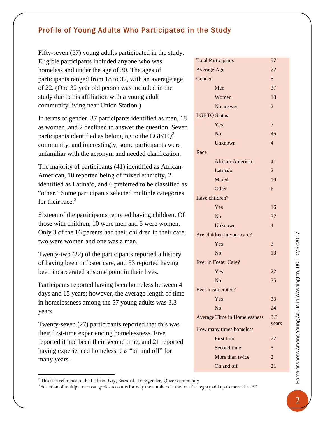# Profile of Young Adults Who Participated in the Study

Fifty-seven (57) young adults participated in the study. Eligible participants included anyone who was homeless and under the age of 30. The ages of participants ranged from 18 to 32, with an average age of 22. (One 32 year old person was included in the study due to his affiliation with a young adult community living near Union Station.)

In terms of gender, 37 participants identified as men, 18 as women, and 2 declined to answer the question. Seven participants identified as belonging to the LGBT $Q^2$ community, and interestingly, some participants were unfamiliar with the acronym and needed clarification.

The majority of participants (41) identified as African-American, 10 reported being of mixed ethnicity, 2 identified as Latina/o, and 6 preferred to be classified as "other." Some participants selected multiple categories for their race.<sup>3</sup>

Sixteen of the participants reported having children. Of those with children, 10 were men and 6 were women. Only 3 of the 16 parents had their children in their care; two were women and one was a man.

Twenty-two (22) of the participants reported a history of having been in foster care, and 33 reported having been incarcerated at some point in their lives.

Participants reported having been homeless between 4 days and 15 years; however, the average length of time in homelessness among the 57 young adults was 3.3 years.

Twenty-seven (27) participants reported that this was their first-time experiencing homelessness. Five reported it had been their second time, and 21 reported having experienced homelessness "on and off" for many years.

 $\overline{a}$ 

Second time 5 More than twice  $2 \times 2$ On and off 21

Total Participants 57 Average Age 22 Gender 5 Men 37 Women 18 No answer 2 LGBTQ Status Yes 7 No 46 Unknown 4 Race African-American 41 Latina/o 2 Mixed 10 Other 6 Have children? Yes 16 No 37 Unknown 4 Are children in your care? Yes 3  $N<sub>0</sub>$  13 Ever in Foster Care? Yes 22 No  $35$ Ever incarcerated? Yes 33 No 24 Average Time in Homelessness 3.3 years How many times homeless First time 27

 $2$ <sup>2</sup> This is in reference to the Lesbian, Gay, Bisexual, Transgender, Queer community

<sup>&</sup>lt;sup>3</sup> Selection of multiple race categories accounts for why the numbers in the 'race' category add up to more than 57.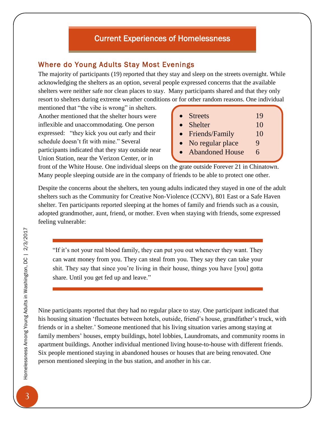# Current Experiences of Homelessness

#### Where do Young Adults Stay Most Evenings

The majority of participants (19) reported that they stay and sleep on the streets overnight. While acknowledging the shelters as an option, several people expressed concerns that the available shelters were neither safe nor clean places to stay. Many participants shared and that they only resort to shelters during extreme weather conditions or for other random reasons. One individual

mentioned that "the vibe is wrong" in shelters. Another mentioned that the shelter hours were inflexible and unaccommodating. One person expressed: "they kick you out early and their schedule doesn't fit with mine." Several participants indicated that they stay outside near Union Station, near the Verizon Center, or in

| $\bullet$ Streets | 19 |
|-------------------|----|
|                   |    |

- Shelter 10
- Friends/Family 10
- No regular place 9
- Abandoned House 6

front of the White House. One individual sleeps on the grate outside Forever 21 in Chinatown. Many people sleeping outside are in the company of friends to be able to protect one other.

Despite the concerns about the shelters, ten young adults indicated they stayed in one of the adult shelters such as the Community for Creative Non-Violence (CCNV), 801 East or a Safe Haven shelter. Ten participants reported sleeping at the homes of family and friends such as a cousin, adopted grandmother, aunt, friend, or mother. Even when staying with friends, some expressed feeling vulnerable:

"If it's not your real blood family, they can put you out whenever they want. They can want money from you. They can steal from you. They say they can take your shit. They say that since you're living in their house, things you have [you] gotta share. Until you get fed up and leave."

Nine participants reported that they had no regular place to stay. One participant indicated that his housing situation 'fluctuates between hotels, outside, friend's house, grandfather's truck, with friends or in a shelter.' Someone mentioned that his living situation varies among staying at family members' houses, empty buildings, hotel lobbies, Laundromats, and community rooms in apartment buildings. Another individual mentioned living house-to-house with different friends. Six people mentioned staying in abandoned houses or houses that are being renovated. One person mentioned sleeping in the bus station, and another in his car.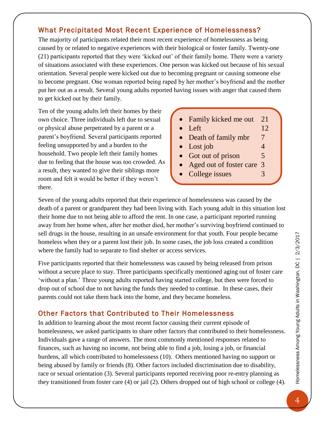# What Precipitated Most Recent Experience of Homelessness?

The majority of participants related their most recent experience of homelessness as being caused by or related to negative experiences with their biological or foster family. Twenty-one (21) participants reported that they were 'kicked out' of their family home. There were a variety of situations associated with these experiences. One person was kicked out because of his sexual orientation. Several people were kicked out due to becoming pregnant or causing someone else to become pregnant. One woman reported being raped by her mother's boyfriend and the mother put her out as a result. Several young adults reported having issues with anger that caused them to get kicked out by their family.

Ten of the young adults left their homes by their own choice. Three individuals left due to sexual or physical abuse perpetrated by a parent or a parent's boyfriend. Several participants reported feeling unsupported by and a burden to the household. Two people left their family homes due to feeling that the house was too crowded. As a result, they wanted to give their siblings more room and felt it would be better if they weren't there.

- Family kicked me out 21
- Left  $12$
- Death of family mbr 7
- $\bullet$  Lost job  $4$
- Got out of prison 5
- Aged out of foster care 3
- College issues 3

Seven of the young adults reported that their experience of homelessness was caused by the death of a parent or grandparent they had been living with. Each young adult in this situation lost their home due to not being able to afford the rent. In one case, a participant reported running away from her home when, after her mother died, her mother's surviving boyfriend continued to sell drugs in the house, resulting in an unsafe environment for that youth. Four people became homeless when they or a parent lost their job. In some cases, the job loss created a condition where the family had to separate to find shelter or access services.

Five participants reported that their homelessness was caused by being released from prison without a secure place to stay. Three participants specifically mentioned aging out of foster care 'without a plan.' Three young adults reported having started college, but then were forced to drop out of school due to not having the funds they needed to continue. In these cases, their parents could not take them back into the home, and they became homeless.

# Other Factors that Contributed to Their Homelessness

In addition to learning about the most recent factor causing their current episode of homelessness, we asked participants to share other factors that contributed to their homelessness. Individuals gave a range of answers. The most commonly mentioned responses related to finances, such as having no income, not being able to find a job, losing a job, or financial burdens, all which contributed to homelessness (10). Others mentioned having no support or being abused by family or friends (8). Other factors included discrimination due to disability, race or sexual orientation (3). Several participants reported receiving poor re-entry planning as they transitioned from foster care (4) or jail (2). Others dropped out of high school or college (4).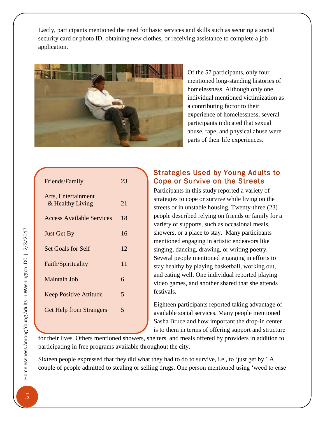Lastly, participants mentioned the need for basic services and skills such as securing a social security card or photo ID, obtaining new clothes, or receiving assistance to complete a job application.



Of the 57 participants, only four mentioned long-standing histories of homelessness. Although only one individual mentioned victimization as a contributing factor to their experience of homelessness, several participants indicated that sexual abuse, rape, and physical abuse were parts of their life experiences.

| Friends/Family                          | 23 |
|-----------------------------------------|----|
| Arts, Entertainment<br>& Healthy Living | 21 |
| <b>Access Available Services</b>        | 18 |
| <b>Just Get By</b>                      | 16 |
| <b>Set Goals for Self</b>               | 12 |
| Faith/Spirituality                      | 11 |
| <b>Maintain Job</b>                     | 6  |
| <b>Keep Positive Attitude</b>           | 5  |
| <b>Get Help from Strangers</b>          | 5  |
|                                         |    |

# Strategies Used by Young Adults to Cope or Survive on the Streets

Participants in this study reported a variety of strategies to cope or survive while living on the streets or in unstable housing. Twenty-three (23) people described relying on friends or family for a variety of supports, such as occasional meals, showers, or a place to stay. Many participants mentioned engaging in artistic endeavors like singing, dancing, drawing, or writing poetry. Several people mentioned engaging in efforts to stay healthy by playing basketball, working out, and eating well. One individual reported playing video games, and another shared that she attends festivals.

Eighteen participants reported taking advantage of available social services. Many people mentioned Sasha Bruce and how important the drop-in center is to them in terms of offering support and structure

for their lives. Others mentioned showers, shelters, and meals offered by providers in addition to participating in free programs available throughout the city.

Sixteen people expressed that they did what they had to do to survive, i.e., to 'just get by.' A couple of people admitted to stealing or selling drugs. One person mentioned using 'weed to ease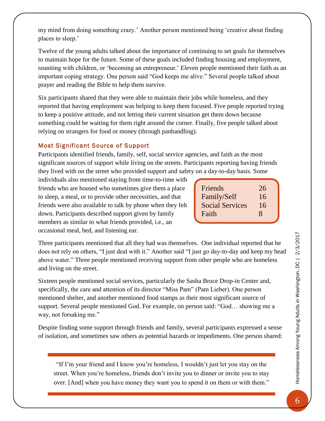my mind from doing something crazy.' Another person mentioned being 'creative about finding places to sleep.'

Twelve of the young adults talked about the importance of continuing to set goals for themselves to maintain hope for the future. Some of these goals included finding housing and employment, reuniting with children, or 'becoming an entrepreneur.' Eleven people mentioned their faith as an important coping strategy. One person said "God keeps me alive." Several people talked about prayer and reading the Bible to help them survive.

Six participants shared that they were able to maintain their jobs while homeless, and they reported that having employment was helping to keep them focused. Five people reported trying to keep a positive attitude, and not letting their current situation get them down because something could be waiting for them right around the corner. Finally, five people talked about relying on strangers for food or money (through panhandling).

#### Most Significant Source of Support

Participants identified friends, family, self, social service agencies, and faith as the most significant sources of support while living on the streets. Participants reporting having friends they lived with on the street who provided support and safety on a day-to-day basis. Some

individuals also mentioned staying from time-to-time with friends who are housed who sometimes give them a place to sleep, a meal, or to provide other necessities, and that friends were also available to talk by phone when they felt down. Participants described support given by family members as similar to what friends provided, i.e., an occasional meal, bed, and listening ear.

| Friends                | 26 |
|------------------------|----|
| Family/Self            | 16 |
| <b>Social Services</b> | 16 |
| Faith                  | 8  |
|                        |    |

Three participants mentioned that all they had was themselves. One individual reported that he does not rely on others, "I just deal with it." Another said "I just go day-to-day and keep my head above water." Three people mentioned receiving support from other people who are homeless and living on the street.

Sixteen people mentioned social services, particularly the Sasha Bruce Drop-in Center and, specifically, the care and attention of its director "Miss Pam" (Pam Lieber). One person mentioned shelter, and another mentioned food stamps as their most significant source of support. Several people mentioned God. For example, on person said: "God… showing me a way, not forsaking me."

Despite finding some support through friends and family, several participants expressed a sense of isolation, and sometimes saw others as potential hazards or impediments. One person shared:

"If I'm your friend and I know you're homeless, I wouldn't just let you stay on the street. When you're homeless, friends don't invite you to dinner or invite you to stay over. [And] when you have money they want you to spend it on them or with them."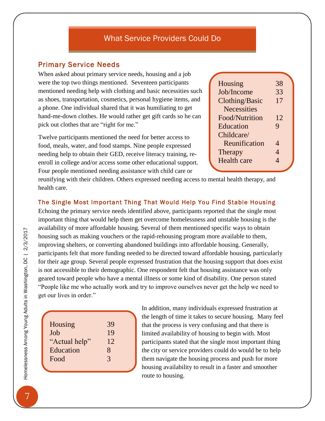#### Primary Service Needs

When asked about primary service needs, housing and a job were the top two things mentioned. Seventeen participants mentioned needing help with clothing and basic necessities such as shoes, transportation, cosmetics, personal hygiene items, and a phone. One individual shared that it was humiliating to get hand-me-down clothes. He would rather get gift cards so he can pick out clothes that are "right for me."

Twelve participants mentioned the need for better access to food, meals, water, and food stamps. Nine people expressed needing help to obtain their GED, receive literacy training, reenroll in college and/or access some other educational support. Four people mentioned needing assistance with child care or

| Housing               | 38 |
|-----------------------|----|
| Job/Income            | 33 |
| <b>Clothing/Basic</b> | 17 |
| <b>Necessities</b>    |    |
| Food/Nutrition        | 12 |
| Education             | 9  |
| Childcare/            |    |
| Reunification         | 4  |
| Therapy               | 4  |
| <b>Health care</b>    | Δ  |
|                       |    |

reunifying with their children. Others expressed needing access to mental health therapy, and health care.

#### The Single Most Important Thing That Would Help You Find Stable Housing

Echoing the primary service needs identified above, participants reported that the single most important thing that would help them get overcome homelessness and unstable housing is the availability of more affordable housing. Several of them mentioned specific ways to obtain housing such as making vouchers or the rapid-rehousing program more available to them, improving shelters, or converting abandoned buildings into affordable housing. Generally, participants felt that more funding needed to be directed toward affordable housing, particularly for their age group. Several people expressed frustration that the housing support that does exist is not accessible to their demographic. One respondent felt that housing assistance was only geared toward people who have a mental illness or some kind of disability. One person stated "People like me who actually work and try to improve ourselves never get the help we need to get our lives in order."

In addition, many individuals expressed frustration at the length of time it takes to secure housing. Many feel that the process is very confusing and that there is limited availability of housing to begin with. Most participants stated that the single most important thing the city or service providers could do would be to help them navigate the housing process and push for more housing availability to result in a faster and smoother route to housing.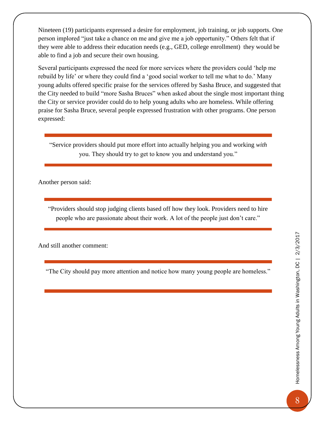Nineteen (19) participants expressed a desire for employment, job training, or job supports. One person implored "just take a chance on me and give me a job opportunity." Others felt that if they were able to address their education needs (e.g., GED, college enrollment) they would be able to find a job and secure their own housing.

Several participants expressed the need for more services where the providers could 'help me rebuild by life' or where they could find a 'good social worker to tell me what to do.' Many young adults offered specific praise for the services offered by Sasha Bruce, and suggested that the City needed to build "more Sasha Bruces" when asked about the single most important thing the City or service provider could do to help young adults who are homeless. While offering praise for Sasha Bruce, several people expressed frustration with other programs. One person expressed:

"Service providers should put more effort into actually helping you and working *with* you. They should try to get to know you and understand you."

Another person said:

"Providers should stop judging clients based off how they look. Providers need to hire people who are passionate about their work. A lot of the people just don't care."

And still another comment:

"The City should pay more attention and notice how many young people are homeless."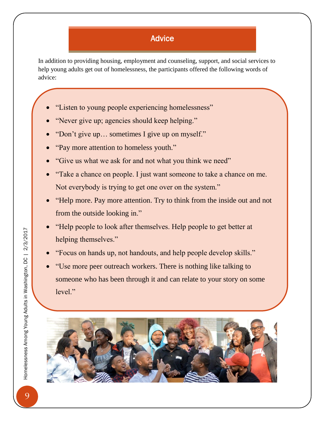# Advice

In addition to providing housing, employment and counseling, support, and social services to help young adults get out of homelessness, the participants offered the following words of advice:

- "Listen to young people experiencing homelessness"
- "Never give up; agencies should keep helping."
- "Don't give up… sometimes I give up on myself."
- "Pay more attention to homeless youth."

 $S$ top racism. Get the police of my back. The police of my back.

- "Give us what we ask for and not what you think we need"
- "Take a chance on people. I just want someone to take a chance on me. Not everybody is trying to get one over on the system."
- "Help more. Pay more attention. Try to think from the inside out and not from the outside looking in."
- "Help people to look after themselves. Help people to get better at helping themselves."
- "Focus on hands up, not handouts, and help people develop skills."
- "Use more peer outreach workers. There is nothing like talking to someone who has been through it and can relate to your story on some level."

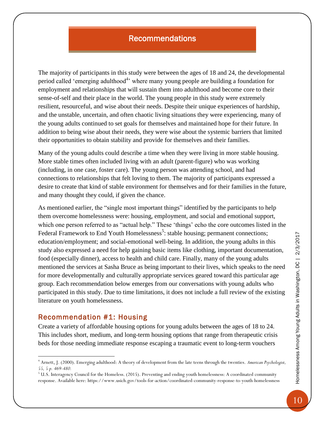# Recommendations

The majority of participants in this study were between the ages of 18 and 24, the developmental period called 'emerging adulthood<sup>4</sup>' where many young people are building a foundation for employment and relationships that will sustain them into adulthood and become core to their sense-of-self and their place in the world. The young people in this study were extremely resilient, resourceful, and wise about their needs. Despite their unique experiences of hardship, and the unstable, uncertain, and often chaotic living situations they were experiencing, many of the young adults continued to set goals for themselves and maintained hope for their future. In addition to being wise about their needs, they were wise about the systemic barriers that limited their opportunities to obtain stability and provide for themselves and their families.

Many of the young adults could describe a time when they were living in more stable housing. More stable times often included living with an adult (parent-figure) who was working (including, in one case, foster care). The young person was attending school, and had connections to relationships that felt loving to them. The majority of participants expressed a desire to create that kind of stable environment for themselves and for their families in the future, and many thought they could, if given the chance.

As mentioned earlier, the "single most important things" identified by the participants to help them overcome homelessness were: housing, employment, and social and emotional support, which one person referred to as "actual help." These 'things' echo the core outcomes listed in the Federal Framework to End Youth Homelessness<sup>5</sup>: stable housing; permanent connections; education/employment; and social-emotional well-being. In addition, the young adults in this study also expressed a need for help gaining basic items like clothing, important documentation, food (especially dinner), access to health and child care. Finally, many of the young adults mentioned the services at Sasha Bruce as being important to their lives, which speaks to the need for more developmentally and culturally appropriate services geared toward this particular age group. Each recommendation below emerges from our conversations with young adults who participated in this study. Due to time limitations, it does not include a full review of the existing literature on youth homelessness.

#### Recommendation #1: Housing

 $\overline{a}$ 

Create a variety of affordable housing options for young adults between the ages of 18 to 24. This includes short, medium, and long-term housing options that range from therapeutic crisis beds for those needing immediate response escaping a traumatic event to long-term vouchers

<sup>4</sup> Arnett, J. (2000). Emerging adulthood: A theory of development from the late teens through the twenties. *American Psychologist, 55, 5 p. 469-480.*

<sup>&</sup>lt;sup>5</sup> U.S. Interagency Council for the Homeless. (2015). Preventing and ending youth homelessness: A coordinated community response. Available here: https://www.usich.gov/tools-for-action/coordinated-community-response-to-youth-homelessness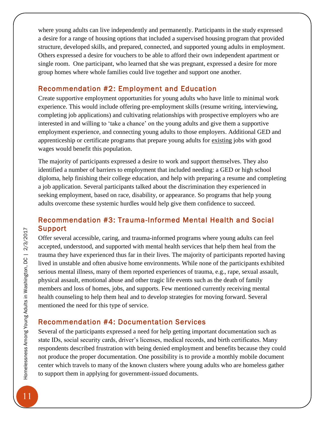where young adults can live independently and permanently. Participants in the study expressed a desire for a range of housing options that included a supervised housing program that provided structure, developed skills, and prepared, connected, and supported young adults in employment. Others expressed a desire for vouchers to be able to afford their own independent apartment or single room. One participant, who learned that she was pregnant, expressed a desire for more group homes where whole families could live together and support one another.

# Recommendation #2: Employment and Education

Create supportive employment opportunities for young adults who have little to minimal work experience. This would include offering pre-employment skills (resume writing, interviewing, completing job applications) and cultivating relationships with prospective employers who are interested in and willing to 'take a chance' on the young adults and give them a supportive employment experience, and connecting young adults to those employers. Additional GED and apprenticeship or certificate programs that prepare young adults for existing jobs with good wages would benefit this population.

The majority of participants expressed a desire to work and support themselves. They also identified a number of barriers to employment that included needing: a GED or high school diploma, help finishing their college education, and help with preparing a resume and completing a job application. Several participants talked about the discrimination they experienced in seeking employment, based on race, disability, or appearance. So programs that help young adults overcome these systemic hurdles would help give them confidence to succeed.

# Recommendation #3: Trauma-Informed Mental Health and Social Support

Offer several accessible, caring, and trauma-informed programs where young adults can feel accepted, understood, and supported with mental health services that help them heal from the trauma they have experienced thus far in their lives. The majority of participants reported having lived in unstable and often abusive home environments. While none of the participants exhibited serious mental illness, many of them reported experiences of trauma, e.g., rape, sexual assault, physical assault, emotional abuse and other tragic life events such as the death of family members and loss of homes, jobs, and supports. Few mentioned currently receiving mental health counseling to help them heal and to develop strategies for moving forward. Several mentioned the need for this type of service.

# Recommendation #4: Documentation Services

Several of the participants expressed a need for help getting important documentation such as state IDs, social security cards, driver's licenses, medical records, and birth certificates. Many respondents described frustration with being denied employment and benefits because they could not produce the proper documentation. One possibility is to provide a monthly mobile document center which travels to many of the known clusters where young adults who are homeless gather to support them in applying for government-issued documents.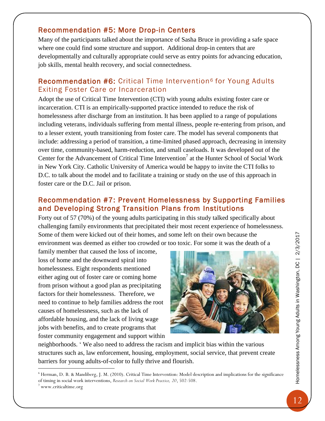# Recommendation #5: More Drop-in Centers

Many of the participants talked about the importance of Sasha Bruce in providing a safe space where one could find some structure and support. Additional drop-in centers that are developmentally and culturally appropriate could serve as entry points for advancing education, job skills, mental health recovery, and social connectedness.

# Recommendation #6: Critical Time Intervention<sup>6</sup> for Young Adults Exiting Foster Care or Incarceration

Adopt the use of Critical Time Intervention (CTI) with young adults existing foster care or incarceration. CTI is an empirically-supported practice intended to reduce the risk of homelessness after discharge from an institution. It has been applied to a range of populations including veterans, individuals suffering from mental illness, people re-entering from prison, and to a lesser extent, youth transitioning from foster care. The model has several components that include: addressing a period of transition, a time-limited phased approach, decreasing in intensity over time, community-based, harm-reduction, and small caseloads. It was developed out of the Center for the Advancement of Critical Time Intervention<sup>7</sup> at the Hunter School of Social Work in New York City. Catholic University of America would be happy to invite the CTI folks to D.C. to talk about the model and to facilitate a training or study on the use of this approach in foster care or the D.C. Jail or prison.

# Recommendation #7: Prevent Homelessness by Supporting Families and Developing Strong Transition Plans from Institutions

Forty out of 57 (70%) of the young adults participating in this study talked specifically about challenging family environments that precipitated their most recent experience of homelessness. Some of them were kicked out of their homes, and some left on their own because the environment was deemed as either too crowded or too toxic. For some it was the death of a

family member that caused the loss of income, loss of home and the downward spiral into homelessness. Eight respondents mentioned either aging out of foster care or coming home from prison without a good plan as precipitating factors for their homelessness. Therefore, we need to continue to help families address the root causes of homelessness, such as the lack of affordable housing, and the lack of living wage jobs with benefits, and to create programs that foster community engagement and support within



neighborhoods. ' We also need to address the racism and implicit bias within the various structures such as, law enforcement, housing, employment, social service, that prevent create barriers for young adults-of-color to fully thrive and flourish.

 $\overline{a}$ 

<sup>6</sup> Herman, D. B. & Mandiberg, J. M. (2010). Critical Time Intervention: Model description and implications for the significance of timing in social work interventions, *Research on Social Work Practice, 20*, 502-508.

www.criticaltime.org